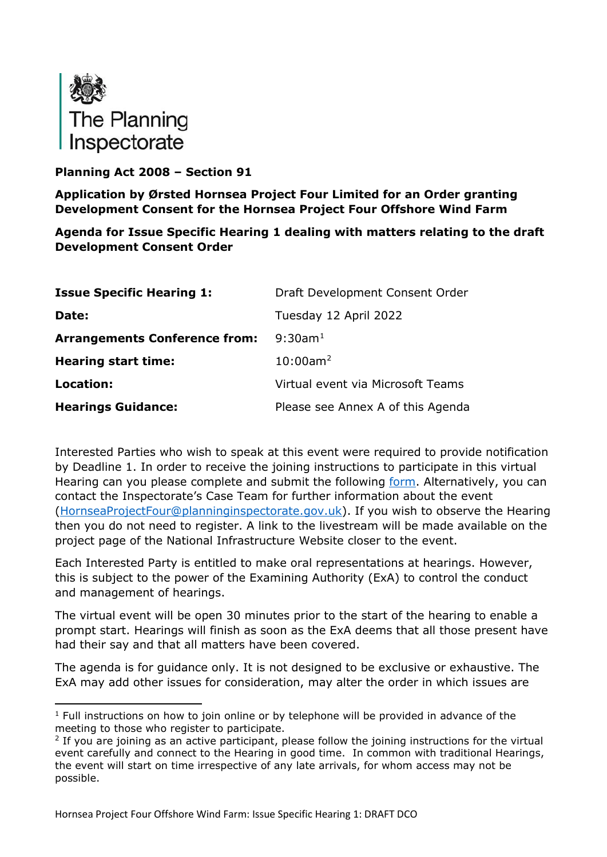

# **Planning Act 2008 – Section 91**

**Application by Ørsted Hornsea Project Four Limited for an Order granting Development Consent for the Hornsea Project Four Offshore Wind Farm**

**Agenda for Issue Specific Hearing 1 dealing with matters relating to the draft Development Consent Order**

| <b>Issue Specific Hearing 1:</b>     | Draft Development Consent Order   |
|--------------------------------------|-----------------------------------|
| Date:                                | Tuesday 12 April 2022             |
| <b>Arrangements Conference from:</b> | $9:30$ am <sup>1</sup>            |
| <b>Hearing start time:</b>           | $10:00$ am <sup>2</sup>           |
| Location:                            | Virtual event via Microsoft Teams |
| <b>Hearings Guidance:</b>            | Please see Annex A of this Agenda |

Interested Parties who wish to speak at this event were required to provide notification by Deadline 1. In order to receive the joining instructions to participate in this virtual Hearing can you please complete and submit the following [form.](https://forms.office.com/pages/responsepage.aspx?id=mN94WIhvq0iTIpmM5VcIje6FHDvzmKBHiEi84DrjxWpUOEJNN00zTTVVTzhaVUxBSU1KTkFMUjY5SC4u) Alternatively, you can contact the Inspectorate's Case Team for further information about the event [\(HornseaProjectFour@planninginspectorate.gov.uk\)](mailto:HornseaProjectFour@planninginspectorate.gov.uk). If you wish to observe the Hearing then you do not need to register. A link to the livestream will be made available on the project page of the National Infrastructure Website closer to the event.

Each Interested Party is entitled to make oral representations at hearings. However, this is subject to the power of the Examining Authority (ExA) to control the conduct and management of hearings.

The virtual event will be open 30 minutes prior to the start of the hearing to enable a prompt start. Hearings will finish as soon as the ExA deems that all those present have had their say and that all matters have been covered.

The agenda is for guidance only. It is not designed to be exclusive or exhaustive. The ExA may add other issues for consideration, may alter the order in which issues are

<span id="page-0-0"></span> $1$  Full instructions on how to join online or by telephone will be provided in advance of the meeting to those who register to participate.

<span id="page-0-1"></span><sup>&</sup>lt;sup>2</sup> If you are joining as an active participant, please follow the joining instructions for the virtual event carefully and connect to the Hearing in good time. In common with traditional Hearings, the event will start on time irrespective of any late arrivals, for whom access may not be possible.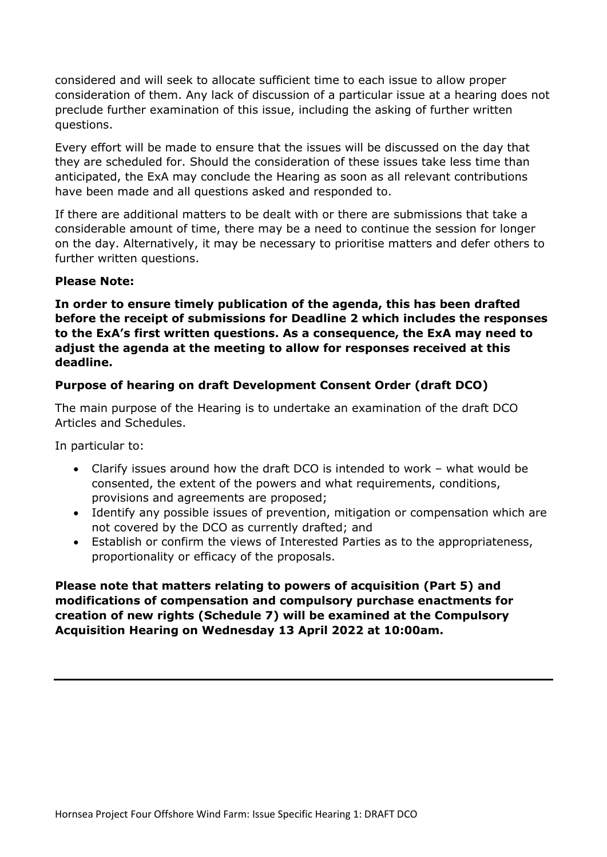considered and will seek to allocate sufficient time to each issue to allow proper consideration of them. Any lack of discussion of a particular issue at a hearing does not preclude further examination of this issue, including the asking of further written questions.

Every effort will be made to ensure that the issues will be discussed on the day that they are scheduled for. Should the consideration of these issues take less time than anticipated, the ExA may conclude the Hearing as soon as all relevant contributions have been made and all questions asked and responded to.

If there are additional matters to be dealt with or there are submissions that take a considerable amount of time, there may be a need to continue the session for longer on the day. Alternatively, it may be necessary to prioritise matters and defer others to further written questions.

#### **Please Note:**

**In order to ensure timely publication of the agenda, this has been drafted before the receipt of submissions for Deadline 2 which includes the responses to the ExA's first written questions. As a consequence, the ExA may need to adjust the agenda at the meeting to allow for responses received at this deadline.**

## **Purpose of hearing on draft Development Consent Order (draft DCO)**

The main purpose of the Hearing is to undertake an examination of the draft DCO Articles and Schedules.

In particular to:

- Clarify issues around how the draft DCO is intended to work what would be consented, the extent of the powers and what requirements, conditions, provisions and agreements are proposed;
- Identify any possible issues of prevention, mitigation or compensation which are not covered by the DCO as currently drafted; and
- Establish or confirm the views of Interested Parties as to the appropriateness, proportionality or efficacy of the proposals.

**Please note that matters relating to powers of acquisition (Part 5) and modifications of compensation and compulsory purchase enactments for creation of new rights (Schedule 7) will be examined at the Compulsory Acquisition Hearing on Wednesday 13 April 2022 at 10:00am.**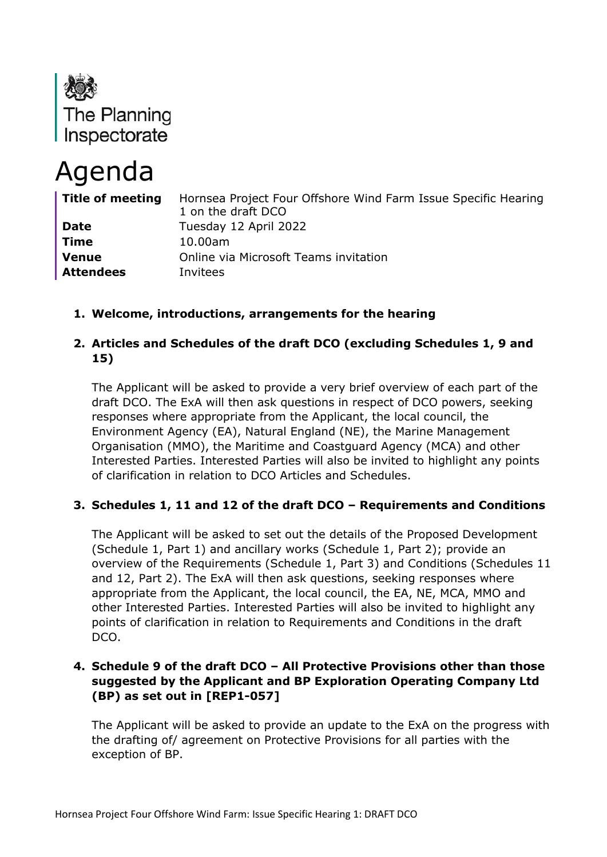

# Agenda

| Title of meeting | Hornsea Project Four Offshore Wind Farm Issue Specific Hearing<br>1 on the draft DCO |
|------------------|--------------------------------------------------------------------------------------|
| <b>Date</b>      | Tuesday 12 April 2022                                                                |
| <b>Time</b>      | 10.00am                                                                              |
| <b>Venue</b>     | Online via Microsoft Teams invitation                                                |
| <b>Attendees</b> | Invitees                                                                             |

**1. Welcome, introductions, arrangements for the hearing**

# **2. Articles and Schedules of the draft DCO (excluding Schedules 1, 9 and 15)**

The Applicant will be asked to provide a very brief overview of each part of the draft DCO. The ExA will then ask questions in respect of DCO powers, seeking responses where appropriate from the Applicant, the local council, the Environment Agency (EA), Natural England (NE), the Marine Management Organisation (MMO), the Maritime and Coastguard Agency (MCA) and other Interested Parties. Interested Parties will also be invited to highlight any points of clarification in relation to DCO Articles and Schedules.

# **3. Schedules 1, 11 and 12 of the draft DCO – Requirements and Conditions**

The Applicant will be asked to set out the details of the Proposed Development (Schedule 1, Part 1) and ancillary works (Schedule 1, Part 2); provide an overview of the Requirements (Schedule 1, Part 3) and Conditions (Schedules 11 and 12, Part 2). The ExA will then ask questions, seeking responses where appropriate from the Applicant, the local council, the EA, NE, MCA, MMO and other Interested Parties. Interested Parties will also be invited to highlight any points of clarification in relation to Requirements and Conditions in the draft DCO.

## **4. Schedule 9 of the draft DCO – All Protective Provisions other than those suggested by the Applicant and BP Exploration Operating Company Ltd (BP) as set out in [REP1-057]**

The Applicant will be asked to provide an update to the ExA on the progress with the drafting of/ agreement on Protective Provisions for all parties with the exception of BP.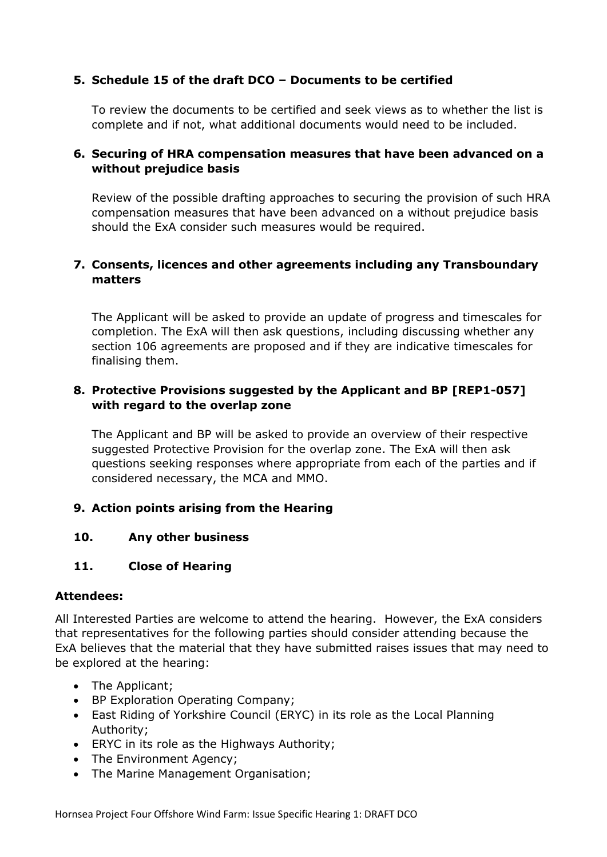# **5. Schedule 15 of the draft DCO – Documents to be certified**

To review the documents to be certified and seek views as to whether the list is complete and if not, what additional documents would need to be included.

## **6. Securing of HRA compensation measures that have been advanced on a without prejudice basis**

Review of the possible drafting approaches to securing the provision of such HRA compensation measures that have been advanced on a without prejudice basis should the ExA consider such measures would be required.

## **7. Consents, licences and other agreements including any Transboundary matters**

The Applicant will be asked to provide an update of progress and timescales for completion. The ExA will then ask questions, including discussing whether any section 106 agreements are proposed and if they are indicative timescales for finalising them.

## **8. Protective Provisions suggested by the Applicant and BP [REP1-057] with regard to the overlap zone**

The Applicant and BP will be asked to provide an overview of their respective suggested Protective Provision for the overlap zone. The ExA will then ask questions seeking responses where appropriate from each of the parties and if considered necessary, the MCA and MMO.

# **9. Action points arising from the Hearing**

#### **10. Any other business**

#### **11. Close of Hearing**

#### **Attendees:**

All Interested Parties are welcome to attend the hearing. However, the ExA considers that representatives for the following parties should consider attending because the ExA believes that the material that they have submitted raises issues that may need to be explored at the hearing:

- The Applicant;
- BP Exploration Operating Company;
- East Riding of Yorkshire Council (ERYC) in its role as the Local Planning Authority;
- ERYC in its role as the Highways Authority;
- The Environment Agency;
- The Marine Management Organisation;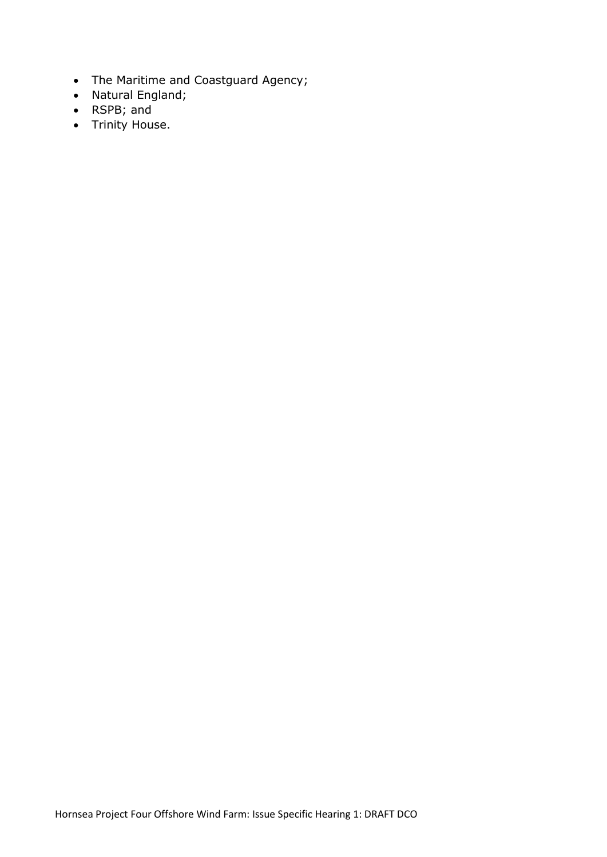- The Maritime and Coastguard Agency;
- Natural England;
- RSPB; and
- Trinity House.